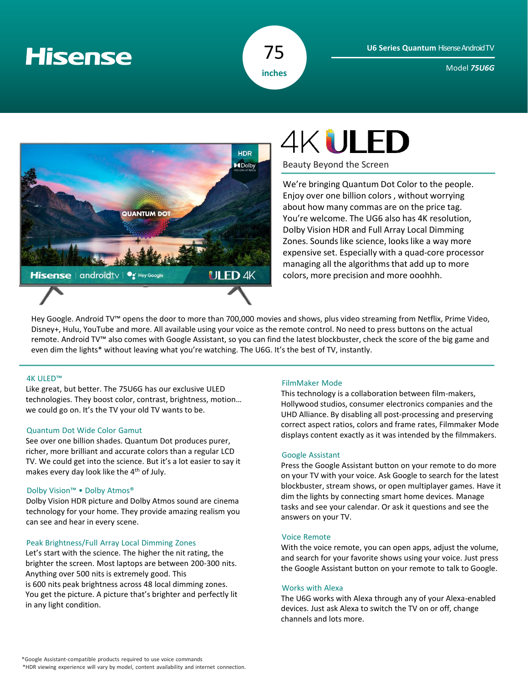## **Hisense**



Model *75U6G*



# **4KULED**

Beauty Beyond the Screen

We're bringing Quantum Dot Color to the people. Enjoy over one billion colors, without worrying about how many commas are on the price tag. You're welcome. The UG6 also has 4K resolution, Dolby Vision HDR and Full Array Local Dimming Zones. Sounds like science, looks like a way more expensive set. Especially with a quad-core processor managing all the algorithms that add up to more colors, more precision and more ooohhh.

Hey Google. Android TV™ opens the door to more than 700,000 movies and shows, plus video streaming from Netflix, Prime Video, Disney+, Hulu, YouTube and more. All available using your voice as the remote control. No need to press buttons on the actual remote. Android TV™ also comes with Google Assistant, so you can find the latest blockbuster, check the score of the big game and even dim the lights\* without leaving what you're watching. The U6G. It's the best of TV, instantly.

#### 4K ULED™

Like great, but better. The 75U6G has our exclusive ULED technologies. They boost color, contrast, brightness, motion… we could go on. It's the TV your old TV wants to be.

#### Quantum Dot Wide Color Gamut

See over one billion shades. Quantum Dot produces purer, richer, more brilliant and accurate colors than a regular LCD TV. We could get into the science. But it's a lot easier to say it makes every day look like the 4<sup>th</sup> of July.

#### Dolby Vision™ • Dolby Atmos®

Dolby Vision HDR picture and Dolby Atmos sound are cinema technology for your home. They provide amazing realism you can see and hear in every scene.

#### Peak Brightness/Full Array Local Dimming Zones

Let's start with the science. The higher the nit rating, the brighter the screen. Most laptops are between 200-300 nits. Anything over 500 nits is extremely good. This is 600 nits peak brightness across 48 local dimming zones. You get the picture. A picture that's brighter and perfectly lit in any light condition.

#### FilmMaker Mode

This technology is a collaboration between film-makers, Hollywood studios, consumer electronics companies and the UHD Alliance. By disabling all post-processing and preserving correct aspect ratios, colors and frame rates, Filmmaker Mode displays content exactly as it was intended by the filmmakers.

#### Google Assistant

Press the Google Assistant button on your remote to do more on your TV with your voice. Ask Google to search for the latest blockbuster, stream shows, or open multiplayer games. Have it dim the lights by connecting smart home devices. Manage tasks and see your calendar. Or ask it questions and see the answers on your TV.

#### Voice Remote

With the voice remote, you can open apps, adjust the volume, and search for your favorite shows using your voice. Just press the Google Assistant button on your remote to talk to Google.

#### Works with Alexa

The U6G works with Alexa through any of your Alexa-enabled devices. Just ask Alexa to switch the TV on or off, change channels and lots more.